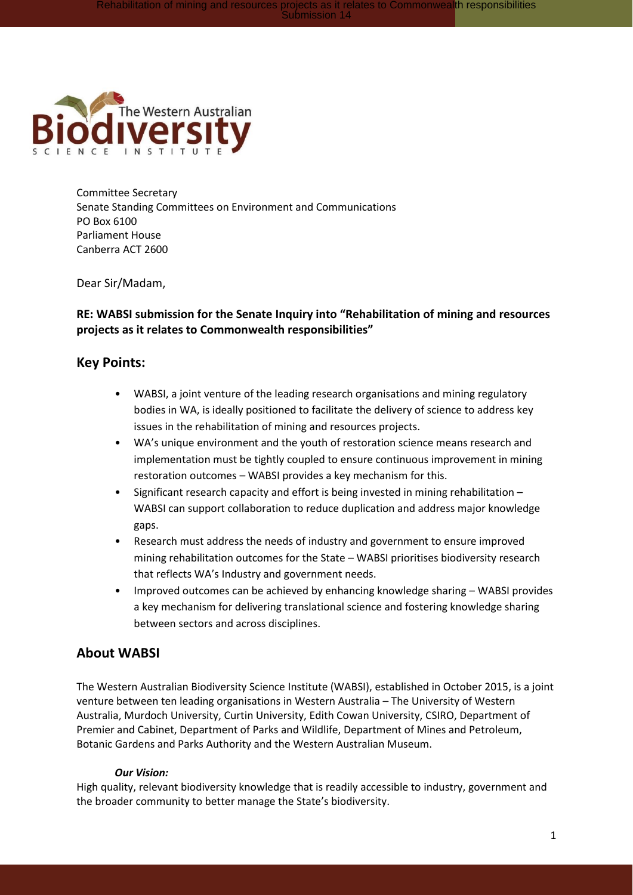

Committee Secretary Senate Standing Committees on Environment and Communications PO Box 6100 Parliament House Canberra ACT 2600

Dear Sir/Madam,

### **RE: WABSI submission for the Senate Inquiry into "Rehabilitation of mining and resources projects as it relates to Commonwealth responsibilities"**

#### **Key Points:**

- WABSI, a joint venture of the leading research organisations and mining regulatory bodies in WA, is ideally positioned to facilitate the delivery of science to address key issues in the rehabilitation of mining and resources projects.
- WA's unique environment and the youth of restoration science means research and implementation must be tightly coupled to ensure continuous improvement in mining restoration outcomes – WABSI provides a key mechanism for this.
- Significant research capacity and effort is being invested in mining rehabilitation WABSI can support collaboration to reduce duplication and address major knowledge gaps.
- Research must address the needs of industry and government to ensure improved mining rehabilitation outcomes for the State – WABSI prioritises biodiversity research that reflects WA's Industry and government needs.
- Improved outcomes can be achieved by enhancing knowledge sharing WABSI provides a key mechanism for delivering translational science and fostering knowledge sharing between sectors and across disciplines.

## **About WABSI**

The Western Australian Biodiversity Science Institute (WABSI), established in October 2015, is a joint venture between ten leading organisations in Western Australia – The University of Western Australia, Murdoch University, Curtin University, Edith Cowan University, CSIRO, Department of Premier and Cabinet, Department of Parks and Wildlife, Department of Mines and Petroleum, Botanic Gardens and Parks Authority and the Western Australian Museum.

#### *Our Vision:*

High quality, relevant biodiversity knowledge that is readily accessible to industry, government and the broader community to better manage the State's biodiversity.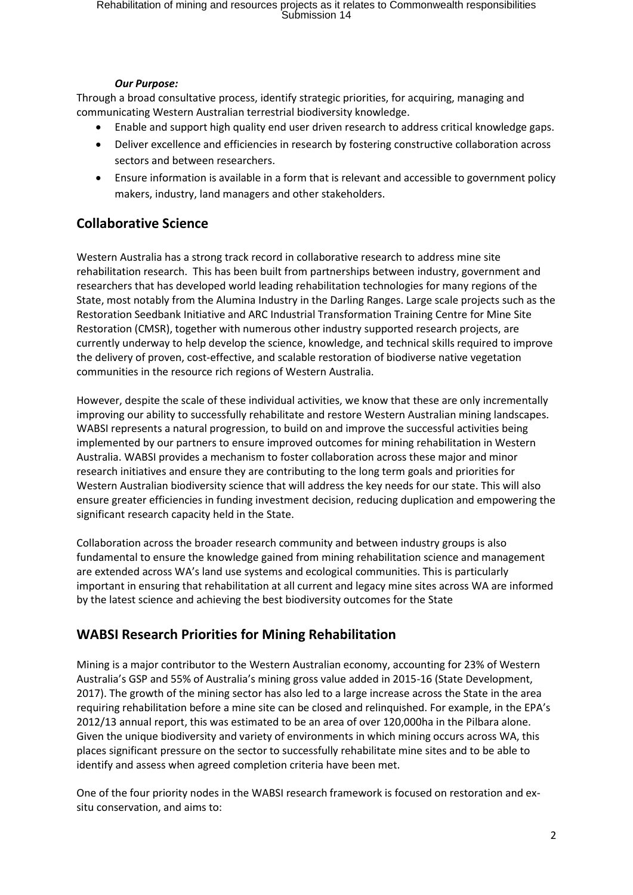#### *Our Purpose:*

Through a broad consultative process, identify strategic priorities, for acquiring, managing and communicating Western Australian terrestrial biodiversity knowledge.

- Enable and support high quality end user driven research to address critical knowledge gaps.
- Deliver excellence and efficiencies in research by fostering constructive collaboration across sectors and between researchers.
- Ensure information is available in a form that is relevant and accessible to government policy makers, industry, land managers and other stakeholders.

# **Collaborative Science**

Western Australia has a strong track record in collaborative research to address mine site rehabilitation research. This has been built from partnerships between industry, government and researchers that has developed world leading rehabilitation technologies for many regions of the State, most notably from the Alumina Industry in the Darling Ranges. Large scale projects such as the Restoration Seedbank Initiative and ARC Industrial Transformation Training Centre for Mine Site Restoration (CMSR), together with numerous other industry supported research projects, are currently underway to help develop the science, knowledge, and technical skills required to improve the delivery of proven, cost-effective, and scalable restoration of biodiverse native vegetation communities in the resource rich regions of Western Australia.

However, despite the scale of these individual activities, we know that these are only incrementally improving our ability to successfully rehabilitate and restore Western Australian mining landscapes. WABSI represents a natural progression, to build on and improve the successful activities being implemented by our partners to ensure improved outcomes for mining rehabilitation in Western Australia. WABSI provides a mechanism to foster collaboration across these major and minor research initiatives and ensure they are contributing to the long term goals and priorities for Western Australian biodiversity science that will address the key needs for our state. This will also ensure greater efficiencies in funding investment decision, reducing duplication and empowering the significant research capacity held in the State.

Collaboration across the broader research community and between industry groups is also fundamental to ensure the knowledge gained from mining rehabilitation science and management are extended across WA's land use systems and ecological communities. This is particularly important in ensuring that rehabilitation at all current and legacy mine sites across WA are informed by the latest science and achieving the best biodiversity outcomes for the State

# **WABSI Research Priorities for Mining Rehabilitation**

Mining is a major contributor to the Western Australian economy, accounting for 23% of Western Australia's GSP and 55% of Australia's mining gross value added in 2015-16 (State Development, 2017). The growth of the mining sector has also led to a large increase across the State in the area requiring rehabilitation before a mine site can be closed and relinquished. For example, in the EPA's 2012/13 annual report, this was estimated to be an area of over 120,000ha in the Pilbara alone. Given the unique biodiversity and variety of environments in which mining occurs across WA, this places significant pressure on the sector to successfully rehabilitate mine sites and to be able to identify and assess when agreed completion criteria have been met.

One of the four priority nodes in the WABSI research framework is focused on restoration and exsitu conservation, and aims to: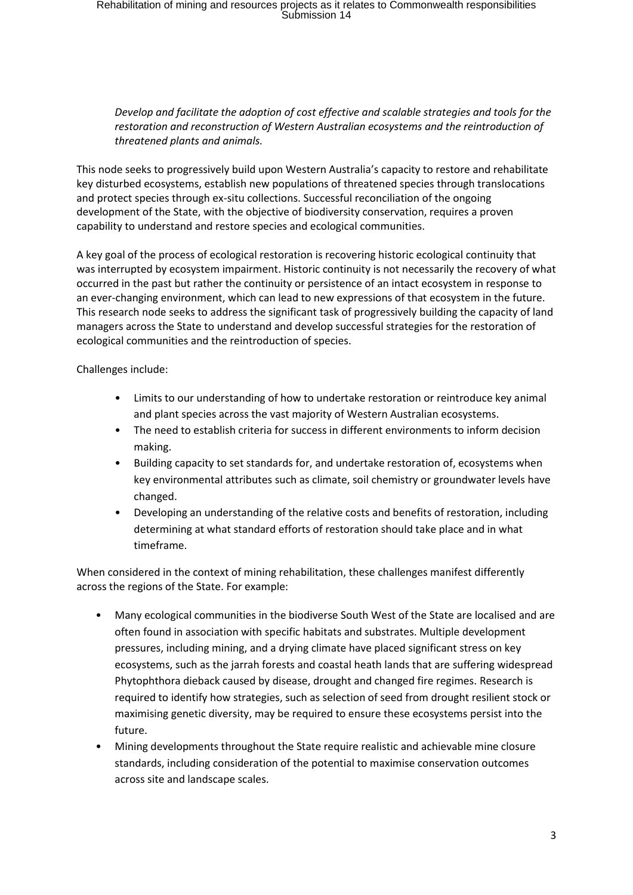### *Develop and facilitate the adoption of cost effective and scalable strategies and tools for the restoration and reconstruction of Western Australian ecosystems and the reintroduction of threatened plants and animals.*

This node seeks to progressively build upon Western Australia's capacity to restore and rehabilitate key disturbed ecosystems, establish new populations of threatened species through translocations and protect species through ex-situ collections. Successful reconciliation of the ongoing development of the State, with the objective of biodiversity conservation, requires a proven capability to understand and restore species and ecological communities.

A key goal of the process of ecological restoration is recovering historic ecological continuity that was interrupted by ecosystem impairment. Historic continuity is not necessarily the recovery of what occurred in the past but rather the continuity or persistence of an intact ecosystem in response to an ever-changing environment, which can lead to new expressions of that ecosystem in the future. This research node seeks to address the significant task of progressively building the capacity of land managers across the State to understand and develop successful strategies for the restoration of ecological communities and the reintroduction of species.

Challenges include:

- Limits to our understanding of how to undertake restoration or reintroduce key animal and plant species across the vast majority of Western Australian ecosystems.
- The need to establish criteria for success in different environments to inform decision making.
- Building capacity to set standards for, and undertake restoration of, ecosystems when key environmental attributes such as climate, soil chemistry or groundwater levels have changed.
- Developing an understanding of the relative costs and benefits of restoration, including determining at what standard efforts of restoration should take place and in what timeframe.

When considered in the context of mining rehabilitation, these challenges manifest differently across the regions of the State. For example:

- Many ecological communities in the biodiverse South West of the State are localised and are often found in association with specific habitats and substrates. Multiple development pressures, including mining, and a drying climate have placed significant stress on key ecosystems, such as the jarrah forests and coastal heath lands that are suffering widespread Phytophthora dieback caused by disease, drought and changed fire regimes. Research is required to identify how strategies, such as selection of seed from drought resilient stock or maximising genetic diversity, may be required to ensure these ecosystems persist into the future.
- Mining developments throughout the State require realistic and achievable mine closure standards, including consideration of the potential to maximise conservation outcomes across site and landscape scales.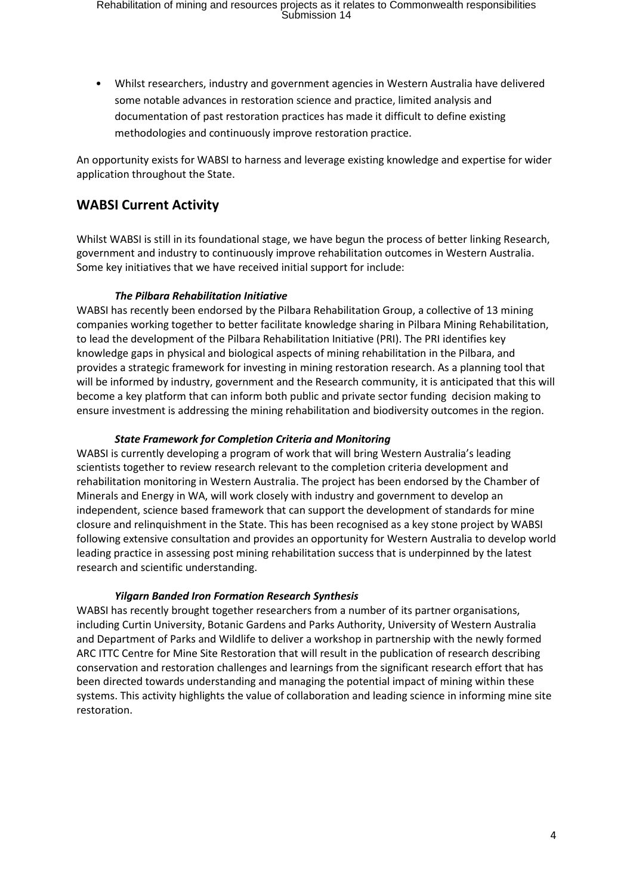• Whilst researchers, industry and government agencies in Western Australia have delivered some notable advances in restoration science and practice, limited analysis and documentation of past restoration practices has made it difficult to define existing methodologies and continuously improve restoration practice.

An opportunity exists for WABSI to harness and leverage existing knowledge and expertise for wider application throughout the State.

## **WABSI Current Activity**

Whilst WABSI is still in its foundational stage, we have begun the process of better linking Research, government and industry to continuously improve rehabilitation outcomes in Western Australia. Some key initiatives that we have received initial support for include:

#### *The Pilbara Rehabilitation Initiative*

WABSI has recently been endorsed by the Pilbara Rehabilitation Group, a collective of 13 mining companies working together to better facilitate knowledge sharing in Pilbara Mining Rehabilitation, to lead the development of the Pilbara Rehabilitation Initiative (PRI). The PRI identifies key knowledge gaps in physical and biological aspects of mining rehabilitation in the Pilbara, and provides a strategic framework for investing in mining restoration research. As a planning tool that will be informed by industry, government and the Research community, it is anticipated that this will become a key platform that can inform both public and private sector funding decision making to ensure investment is addressing the mining rehabilitation and biodiversity outcomes in the region.

#### *State Framework for Completion Criteria and Monitoring*

WABSI is currently developing a program of work that will bring Western Australia's leading scientists together to review research relevant to the completion criteria development and rehabilitation monitoring in Western Australia. The project has been endorsed by the Chamber of Minerals and Energy in WA, will work closely with industry and government to develop an independent, science based framework that can support the development of standards for mine closure and relinquishment in the State. This has been recognised as a key stone project by WABSI following extensive consultation and provides an opportunity for Western Australia to develop world leading practice in assessing post mining rehabilitation success that is underpinned by the latest research and scientific understanding.

#### *Yilgarn Banded Iron Formation Research Synthesis*

WABSI has recently brought together researchers from a number of its partner organisations, including Curtin University, Botanic Gardens and Parks Authority, University of Western Australia and Department of Parks and Wildlife to deliver a workshop in partnership with the newly formed ARC ITTC Centre for Mine Site Restoration that will result in the publication of research describing conservation and restoration challenges and learnings from the significant research effort that has been directed towards understanding and managing the potential impact of mining within these systems. This activity highlights the value of collaboration and leading science in informing mine site restoration.